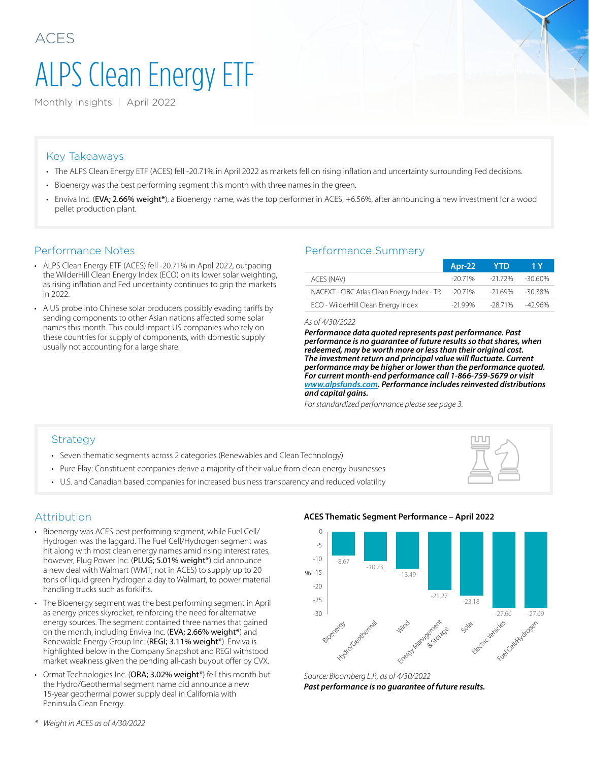# ALPS Clean Energy ETF

Monthly Insights | April 2022

#### Key Takeaways

- The ALPS Clean Energy ETF (ACES) fell -20.71% in April 2022 as markets fell on rising inflation and uncertainty surrounding Fed decisions.
- Bioenergy was the best performing segment this month with three names in the green.
- Enviva Inc. (EVA; 2.66% weight\*), a Bioenergy name, was the top performer in ACES, +6.56%, after announcing a new investment for a wood pellet production plant.

- ALPS Clean Energy ETF (ACES) fell -20.71% in April 2022, outpacing the WilderHill Clean Energy Index (ECO) on its lower solar weighting, as rising inflation and Fed uncertainty continues to grip the markets in 2022.
- A US probe into Chinese solar producers possibly evading tariffs by sending components to other Asian nations affected some solar names this month. This could impact US companies who rely on these countries for supply of components, with domestic supply usually not accounting for a large share.

#### Performance Notes Performance Summary

|                                             | Apr-22    | - YTD   | -1 Y       |
|---------------------------------------------|-----------|---------|------------|
| ACES (NAV)                                  | $-2071\%$ | -21.72% | -30.60%    |
| NACEXT - CIBC Atlas Clean Energy Index - TR | -20.71%   | -21.69% | $-30.38\%$ |
| ECO - WilderHill Clean Energy Index         | -21.99%   | -28.71% | $-4296%$   |

#### *As of 4/30/2022*

*Performance data quoted represents past performance. Past performance is no guarantee of future results so that shares, when redeemed, may be worth more or less than their original cost. The investment return and principal value will fluctuate. Current performance may be higher or lower than the performance quoted. For current month-end performance call 1-866-759-5679 or visit [www.alpsfunds.com.](http://www.alpsfunds.com) Performance includes reinvested distributions and capital gains.* 

*For standardized performance please see page 3.*

#### Strategy

- Seven thematic segments across 2 categories (Renewables and Clean Technology)
- Pure Play: Constituent companies derive a majority of their value from clean energy businesses
- U.S. and Canadian based companies for increased business transparency and reduced volatility



#### Attribution

- Bioenergy was ACES best performing segment, while Fuel Cell/ Hydrogen was the laggard. The Fuel Cell/Hydrogen segment was hit along with most clean energy names amid rising interest rates, however, Plug Power Inc. (PLUG; 5.01% weight\*) did announce a new deal with Walmart (WMT; not in ACES) to supply up to 20 tons of liquid green hydrogen a day to Walmart, to power material handling trucks such as forklifts.
- The Bioenergy segment was the best performing segment in April as energy prices skyrocket, reinforcing the need for alternative energy sources. The segment contained three names that gained on the month, including Enviva Inc. (EVA; 2.66% weight\*) and Renewable Energy Group Inc. (REGI; 3.11% weight\*). Enviva is highlighted below in the Company Snapshot and REGI withstood market weakness given the pending all-cash buyout offer by CVX.
- Ormat Technologies Inc. (ORA; 3.02% weight\*) fell this month but the Hydro/Geothermal segment name did announce a new 15-year geothermal power supply deal in California with Peninsula Clean Energy.



#### **ACES Thematic Segment Performance – April 2022**

*Source: Bloomberg L.P., as of 4/30/2022 Past performance is no guarantee of future results.*

*\* Weight in ACES as of 4/30/2022*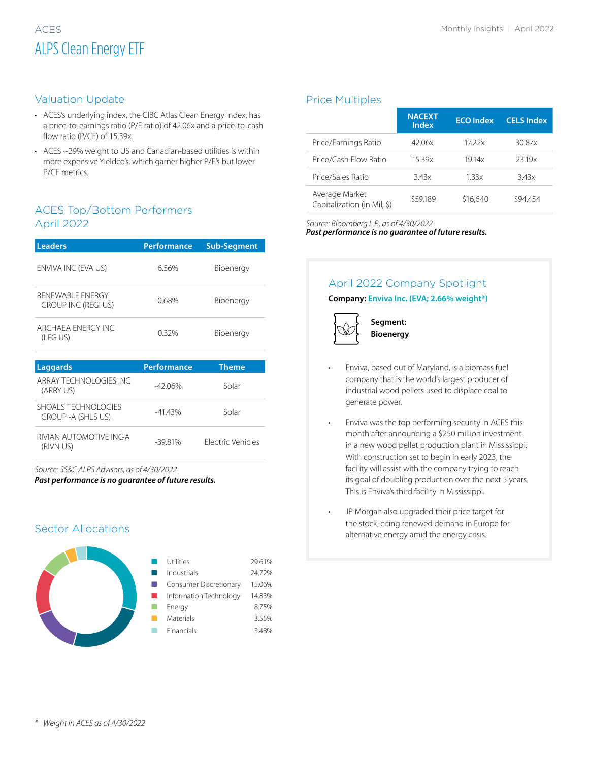# ACES Monthly Insights | April 2022 ALPS Clean Energy ETF

#### Valuation Update

- ACES's underlying index, the CIBC Atlas Clean Energy Index, has a price-to-earnings ratio (P/E ratio) of 42.06x and a price-to-cash flow ratio (P/CF) of 15.39x.
- ACES ~29% weight to US and Canadian-based utilities is within more expensive Yieldco's, which garner higher P/E's but lower P/CF metrics.

#### ACES Top/Bottom Performers April 2022

| <b>Leaders</b>                                | <b>Performance</b> | <b>Sub-Segment</b> |  |  |
|-----------------------------------------------|--------------------|--------------------|--|--|
| ENVIVA INC (EVA US)                           | 6.56%              | Bioenergy          |  |  |
| RENEWABLE ENERGY<br><b>GROUP INC (REGIUS)</b> | 0.68%              | Bioenergy          |  |  |
| ARCHAFA ENFRGY INC<br>(LFG US)                | 0.32%              | Bioenergy          |  |  |
| <b>Laggards</b>                               | <b>Performance</b> | <b>Theme</b>       |  |  |
| ARRAY TECHNOLOGIES INC                        | $-42.06%$          | Solar              |  |  |
| (ARRY US)<br>SHOALS TECHNOLOGIES              | $\overline{11}$    | $\sim$ $\sim$      |  |  |

| $\therefore$ ILIT III III III III III III III<br><b>GROUP - A (SHLS US)</b> | -41 43%  | Solar                    |
|-----------------------------------------------------------------------------|----------|--------------------------|
| RIVIAN AUTOMOTIVE INC-A<br>(RIVN US)                                        | $-3981%$ | <b>Flectric Vehicles</b> |

*Source: SS&C ALPS Advisors, as of 4/30/2022*

*Past performance is no guarantee of future results.*

#### Sector Allocations



#### Price Multiples

|                                               | <b>NACEXT</b><br><b>Index</b> | <b>ECO</b> Index | <b>CELS Index</b> |
|-----------------------------------------------|-------------------------------|------------------|-------------------|
| Price/Earnings Ratio                          | 42.06x                        | 17.22x           | 30.87x            |
| Price/Cash Flow Ratio                         | 15.39x                        | 1914x            | 2319x             |
| Price/Sales Ratio                             | 343x                          | 1.33x            | 3.43x             |
| Average Market<br>Capitalization (in Mil, \$) | \$59,189                      | \$16,640         | \$94.454          |

*Source: Bloomberg L.P., as of 4/30/2022*

*Past performance is no guarantee of future results.*

### April 2022 Company Spotlight

**Company: Enviva Inc. (EVA; 2.66% weight\*)**



 **Segment: Bioenergy**

- Enviva, based out of Maryland, is a biomass fuel company that is the world's largest producer of industrial wood pellets used to displace coal to generate power.
- Enviva was the top performing security in ACES this month after announcing a \$250 million investment in a new wood pellet production plant in Mississippi. With construction set to begin in early 2023, the facility will assist with the company trying to reach its goal of doubling production over the next 5 years. This is Enviva's third facility in Mississippi.
	- JP Morgan also upgraded their price target for the stock, citing renewed demand in Europe for alternative energy amid the energy crisis.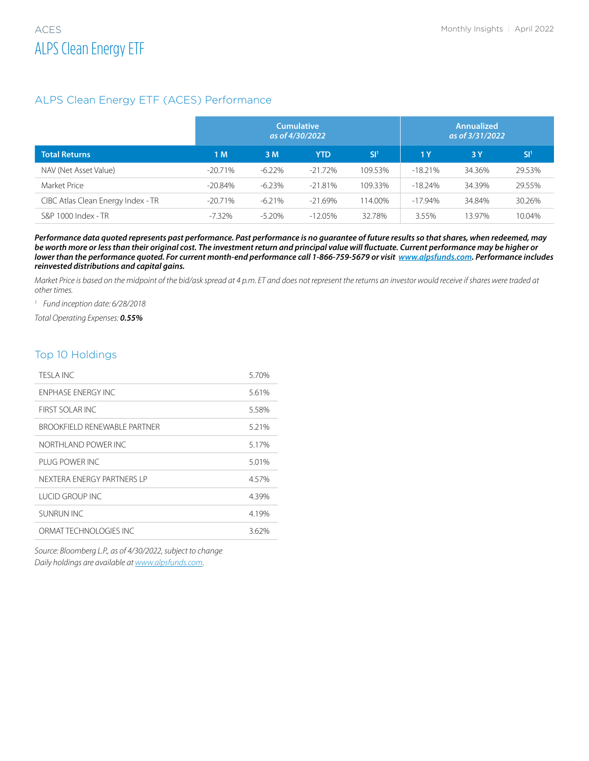#### ALPS Clean Energy ETF (ACES) Performance

|                                    | <b>Cumulative</b><br>as of 4/30/2022 |           |            | <b>Annualized</b><br>as of 3/31/2022 |            |        |        |
|------------------------------------|--------------------------------------|-----------|------------|--------------------------------------|------------|--------|--------|
| <b>Total Returns</b>               | 1M                                   | 3 M       | YTD        | .SI'                                 | 1Y         | 3Y     | SI'    |
| NAV (Net Asset Value)              | $-20.71%$                            | $-6.22\%$ | $-21.72\%$ | 109.53%                              | $-18.21\%$ | 34.36% | 29.53% |
| Market Price                       | $-20.84%$                            | $-6.23%$  | $-21.81\%$ | 109.33%                              | $-18.24%$  | 34.39% | 29.55% |
| CIBC Atlas Clean Energy Index - TR | $-20.71%$                            | $-6.21%$  | $-21.69%$  | 114.00%                              | $-17.94%$  | 34.84% | 30.26% |
| S&P 1000 Index - TR                | $-7.32\%$                            | $-5.20\%$ | $-12.05\%$ | 32.78%                               | 3.55%      | 13.97% | 10.04% |

*Performance data quoted represents past performance. Past performance is no guarantee of future results so that shares, when redeemed, may be worth more or less than their original cost. The investment return and principal value will fluctuate. Current performance may be higher or lower than the performance quoted. For current month-end performance call 1-866-759-5679 or visit [www.alpsfunds.com.](http://www.alpsfunds.com) Performance includes reinvested distributions and capital gains.* 

*Market Price is based on the midpoint of the bid/ask spread at 4 p.m. ET and does not represent the returns an investor would receive if shares were traded at other times.*

*<sup>1</sup> Fund inception date: 6/28/2018*

*Total Operating Expenses: 0.55%*

#### Top 10 Holdings

| TESI A INC.                    | 5.70% |
|--------------------------------|-------|
| <b>FNPHASE ENFRGY INC</b>      | 5.61% |
| FIRST SOLAR INC.               | 5.58% |
| BROOKFIFI D RENEWARI E PARTNER | 5.21% |
| NORTHI AND POWER INC.          | 5.17% |
| PI UG POWER INC                | 5.01% |
| NEXTERA ENERGY PARTNERS I P    | 4.57% |
| <b>TUCID GROUP INC.</b>        | 4.39% |
| SUNRUN INC                     | 4.19% |
| ORMAT TECHNOLOGIES INC.        | 3.62% |
|                                |       |

*Source: Bloomberg L.P., as of 4/30/2022, subject to change Daily holdings are available at [www.alpsfunds.com.](http://www.alpsfunds.com.)*